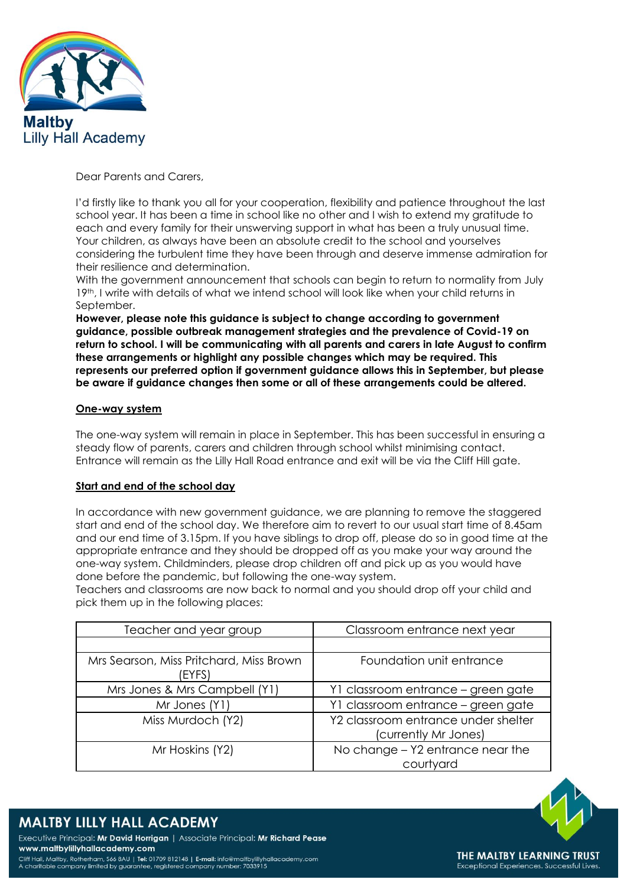

Dear Parents and Carers,

I'd firstly like to thank you all for your cooperation, flexibility and patience throughout the last school year. It has been a time in school like no other and I wish to extend my gratitude to each and every family for their unswerving support in what has been a truly unusual time. Your children, as always have been an absolute credit to the school and yourselves considering the turbulent time they have been through and deserve immense admiration for their resilience and determination.

With the government announcement that schools can begin to return to normality from July 19th, I write with details of what we intend school will look like when your child returns in September.

**However, please note this guidance is subject to change according to government guidance, possible outbreak management strategies and the prevalence of Covid-19 on return to school. I will be communicating with all parents and carers in late August to confirm these arrangements or highlight any possible changes which may be required. This represents our preferred option if government guidance allows this in September, but please be aware if guidance changes then some or all of these arrangements could be altered.**

## **One-way system**

The one-way system will remain in place in September. This has been successful in ensuring a steady flow of parents, carers and children through school whilst minimising contact. Entrance will remain as the Lilly Hall Road entrance and exit will be via the Cliff Hill gate.

## **Start and end of the school day**

In accordance with new government guidance, we are planning to remove the staggered start and end of the school day. We therefore aim to revert to our usual start time of 8.45am and our end time of 3.15pm. If you have siblings to drop off, please do so in good time at the appropriate entrance and they should be dropped off as you make your way around the one-way system. Childminders, please drop children off and pick up as you would have done before the pandemic, but following the one-way system.

Teachers and classrooms are now back to normal and you should drop off your child and pick them up in the following places:

| Teacher and year group                            | Classroom entrance next year                                |
|---------------------------------------------------|-------------------------------------------------------------|
|                                                   |                                                             |
| Mrs Searson, Miss Pritchard, Miss Brown<br>(EYFS) | Foundation unit entrance                                    |
| Mrs Jones & Mrs Campbell (Y1)                     | Y1 classroom entrance – green gate                          |
| Mr Jones (Y1)                                     | Y1 classroom entrance - green gate                          |
| Miss Murdoch (Y2)                                 | Y2 classroom entrance under shelter<br>(currently Mr Jones) |
| Mr Hoskins (Y2)                                   | No change - Y2 entrance near the<br>courtyard               |



**MALTBY LILLY HALL ACADEMY**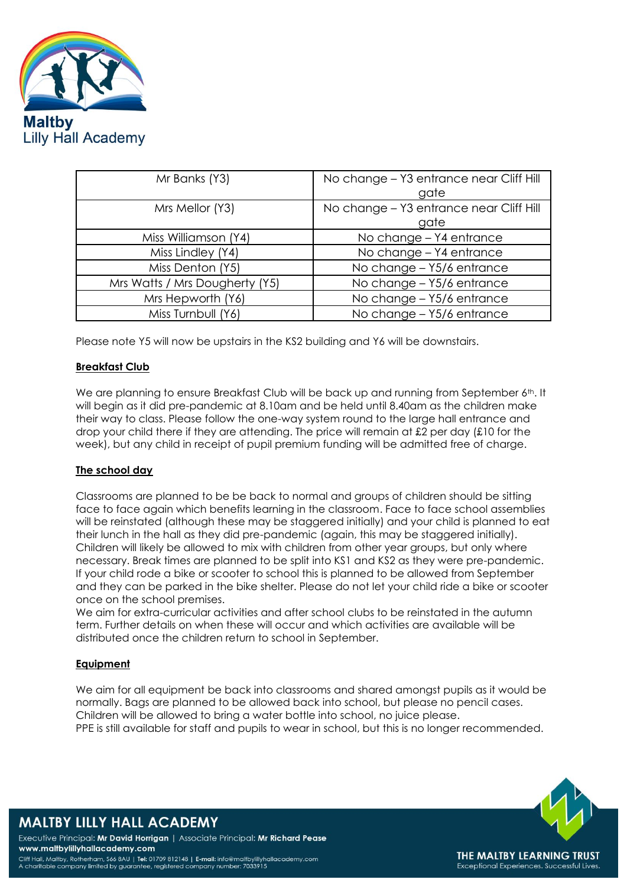

| Mr Banks (Y3)                  | No change - Y3 entrance near Cliff Hill |
|--------------------------------|-----------------------------------------|
|                                | gate                                    |
| Mrs Mellor (Y3)                | No change - Y3 entrance near Cliff Hill |
|                                | gate                                    |
| Miss Williamson (Y4)           | No change - Y4 entrance                 |
| Miss Lindley (Y4)              | No change - Y4 entrance                 |
| Miss Denton (Y5)               | No change - Y5/6 entrance               |
| Mrs Watts / Mrs Dougherty (Y5) | No change - Y5/6 entrance               |
| Mrs Hepworth (Y6)              | No change - Y5/6 entrance               |
| Miss Turnbull (Y6)             | No change - Y5/6 entrance               |

Please note Y5 will now be upstairs in the KS2 building and Y6 will be downstairs.

## **Breakfast Club**

We are planning to ensure Breakfast Club will be back up and running from September 6th. It will begin as it did pre-pandemic at 8.10am and be held until 8.40am as the children make their way to class. Please follow the one-way system round to the large hall entrance and drop your child there if they are attending. The price will remain at £2 per day (£10 for the week), but any child in receipt of pupil premium funding will be admitted free of charge.

## **The school day**

Classrooms are planned to be be back to normal and groups of children should be sitting face to face again which benefits learning in the classroom. Face to face school assemblies will be reinstated (although these may be staggered initially) and your child is planned to eat their lunch in the hall as they did pre-pandemic (again, this may be staggered initially). Children will likely be allowed to mix with children from other year groups, but only where necessary. Break times are planned to be split into KS1 and KS2 as they were pre-pandemic. If your child rode a bike or scooter to school this is planned to be allowed from September and they can be parked in the bike shelter. Please do not let your child ride a bike or scooter once on the school premises.

We aim for extra-curricular activities and after school clubs to be reinstated in the autumn term. Further details on when these will occur and which activities are available will be distributed once the children return to school in September.

## **Equipment**

We aim for all equipment be back into classrooms and shared amongst pupils as it would be normally. Bags are planned to be allowed back into school, but please no pencil cases. Children will be allowed to bring a water bottle into school, no juice please. PPE is still available for staff and pupils to wear in school, but this is no longer recommended.



**MALTBY LILLY HALL ACADEMY**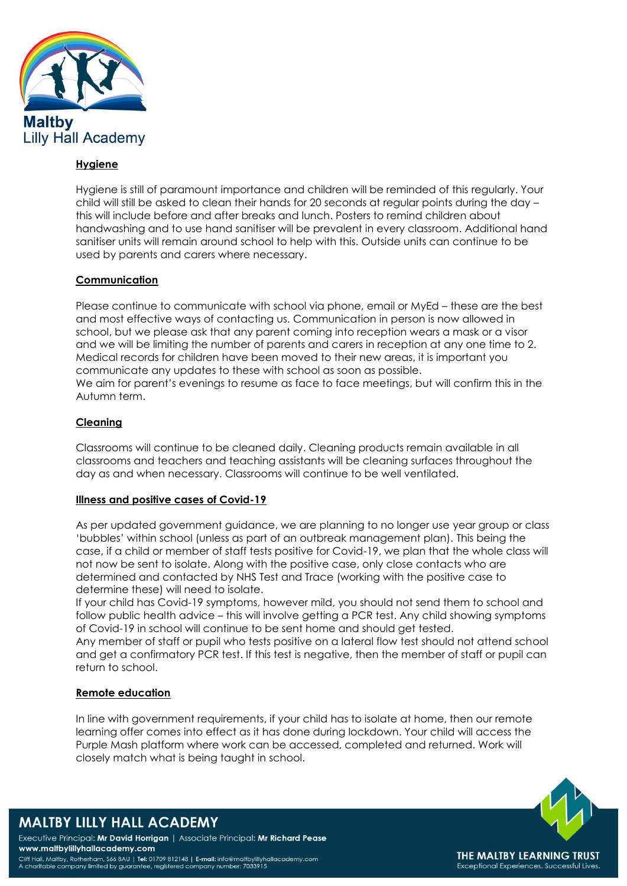

# **Hygiene**

Hygiene is still of paramount importance and children will be reminded of this regularly. Your child will still be asked to clean their hands for 20 seconds at regular points during the day – this will include before and after breaks and lunch. Posters to remind children about handwashing and to use hand sanitiser will be prevalent in every classroom. Additional hand sanitiser units will remain around school to help with this. Outside units can continue to be used by parents and carers where necessary.

## **Communication**

Please continue to communicate with school via phone, email or MyEd – these are the best and most effective ways of contacting us. Communication in person is now allowed in school, but we please ask that any parent coming into reception wears a mask or a visor and we will be limiting the number of parents and carers in reception at any one time to 2. Medical records for children have been moved to their new areas, it is important you communicate any updates to these with school as soon as possible. We aim for parent's evenings to resume as face to face meetings, but will confirm this in the Autumn term.

## **Cleaning**

Classrooms will continue to be cleaned daily. Cleaning products remain available in all classrooms and teachers and teaching assistants will be cleaning surfaces throughout the day as and when necessary. Classrooms will continue to be well ventilated.

## **Illness and positive cases of Covid-19**

As per updated government guidance, we are planning to no longer use year group or class 'bubbles' within school (unless as part of an outbreak management plan). This being the case, if a child or member of staff tests positive for Covid-19, we plan that the whole class will not now be sent to isolate. Along with the positive case, only close contacts who are determined and contacted by NHS Test and Trace (working with the positive case to determine these) will need to isolate.

If your child has Covid-19 symptoms, however mild, you should not send them to school and follow public health advice – this will involve getting a PCR test. Any child showing symptoms of Covid-19 in school will continue to be sent home and should get tested.

Any member of staff or pupil who tests positive on a lateral flow test should not attend school and get a confirmatory PCR test. If this test is negative, then the member of staff or pupil can return to school.

## **Remote education**

In line with government requirements, if your child has to isolate at home, then our remote learning offer comes into effect as it has done during lockdown. Your child will access the Purple Mash platform where work can be accessed, completed and returned. Work will closely match what is being taught in school.



**MALTBY LILLY HALL ACADEMY**